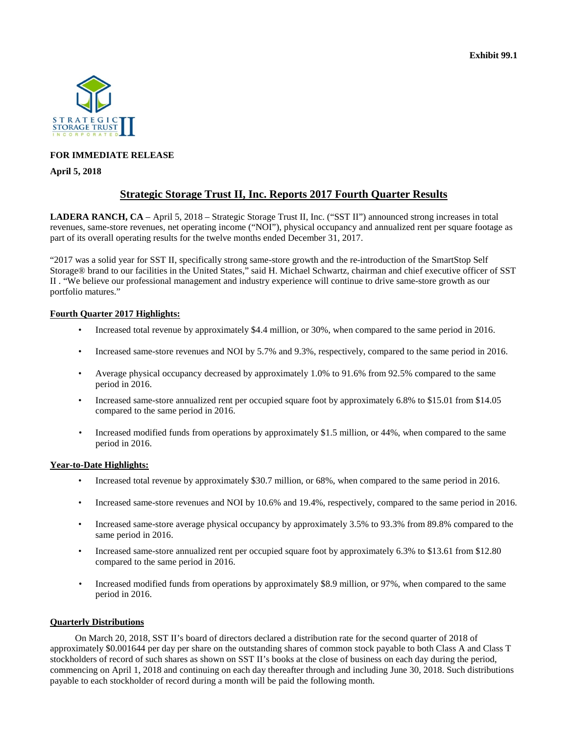

### **FOR IMMEDIATE RELEASE**

#### **April 5, 2018**

# **Strategic Storage Trust II, Inc. Reports 2017 Fourth Quarter Results**

**LADERA RANCH, CA** – April 5, 2018 – Strategic Storage Trust II, Inc. ("SST II") announced strong increases in total revenues, same-store revenues, net operating income ("NOI"), physical occupancy and annualized rent per square footage as part of its overall operating results for the twelve months ended December 31, 2017.

"2017 was a solid year for SST II, specifically strong same-store growth and the re-introduction of the SmartStop Self Storage® brand to our facilities in the United States," said H. Michael Schwartz, chairman and chief executive officer of SST II . "We believe our professional management and industry experience will continue to drive same-store growth as our portfolio matures."

### **Fourth Quarter 2017 Highlights:**

- Increased total revenue by approximately \$4.4 million, or 30%, when compared to the same period in 2016.
- Increased same-store revenues and NOI by 5.7% and 9.3%, respectively, compared to the same period in 2016.
- Average physical occupancy decreased by approximately 1.0% to 91.6% from 92.5% compared to the same period in 2016.
- Increased same-store annualized rent per occupied square foot by approximately 6.8% to \$15.01 from \$14.05 compared to the same period in 2016.
- Increased modified funds from operations by approximately \$1.5 million, or 44%, when compared to the same period in 2016.

### **Year-to-Date Highlights:**

- Increased total revenue by approximately \$30.7 million, or 68%, when compared to the same period in 2016.
- Increased same-store revenues and NOI by 10.6% and 19.4%, respectively, compared to the same period in 2016.
- Increased same-store average physical occupancy by approximately 3.5% to 93.3% from 89.8% compared to the same period in 2016.
- Increased same-store annualized rent per occupied square foot by approximately 6.3% to \$13.61 from \$12.80 compared to the same period in 2016.
- Increased modified funds from operations by approximately \$8.9 million, or 97%, when compared to the same period in 2016.

### **Quarterly Distributions**

On March 20, 2018, SST II's board of directors declared a distribution rate for the second quarter of 2018 of approximately \$0.001644 per day per share on the outstanding shares of common stock payable to both Class A and Class T stockholders of record of such shares as shown on SST II's books at the close of business on each day during the period, commencing on April 1, 2018 and continuing on each day thereafter through and including June 30, 2018. Such distributions payable to each stockholder of record during a month will be paid the following month.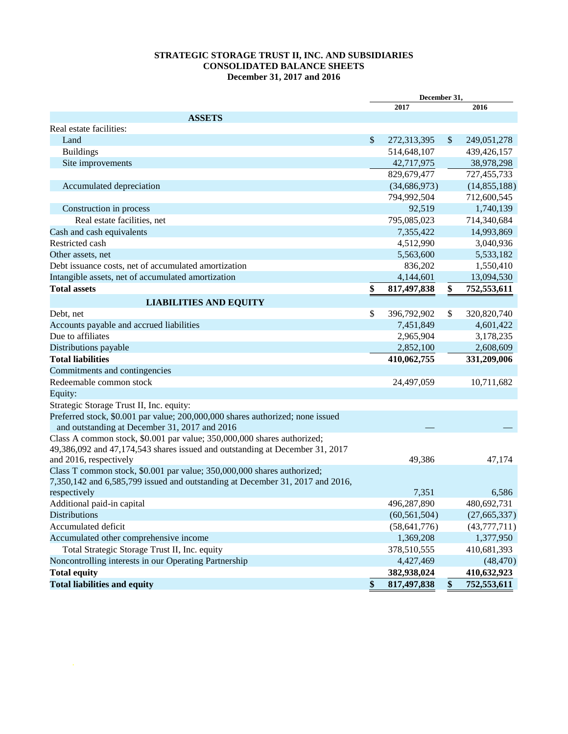## **STRATEGIC STORAGE TRUST II, INC. AND SUBSIDIARIES CONSOLIDATED BALANCE SHEETS December 31, 2017 and 2016**

|                                                                                |              | December 31,   |                           |                |  |
|--------------------------------------------------------------------------------|--------------|----------------|---------------------------|----------------|--|
|                                                                                |              | 2017           |                           | 2016           |  |
| <b>ASSETS</b>                                                                  |              |                |                           |                |  |
| Real estate facilities:                                                        |              |                |                           |                |  |
| Land                                                                           | $\mathbb{S}$ | 272,313,395    | $\boldsymbol{\mathsf{S}}$ | 249,051,278    |  |
| <b>Buildings</b>                                                               |              | 514,648,107    |                           | 439,426,157    |  |
| Site improvements                                                              |              | 42,717,975     |                           | 38,978,298     |  |
|                                                                                |              | 829,679,477    |                           | 727,455,733    |  |
| Accumulated depreciation                                                       |              | (34, 686, 973) |                           | (14, 855, 188) |  |
|                                                                                |              | 794,992,504    |                           | 712,600,545    |  |
| Construction in process                                                        |              | 92,519         |                           | 1,740,139      |  |
| Real estate facilities, net                                                    |              | 795,085,023    |                           | 714,340,684    |  |
| Cash and cash equivalents                                                      |              | 7,355,422      |                           | 14,993,869     |  |
| Restricted cash                                                                |              | 4,512,990      |                           | 3,040,936      |  |
| Other assets, net                                                              |              | 5,563,600      |                           | 5,533,182      |  |
| Debt issuance costs, net of accumulated amortization                           |              | 836,202        |                           | 1,550,410      |  |
| Intangible assets, net of accumulated amortization                             |              | 4,144,601      |                           | 13,094,530     |  |
| <b>Total assets</b>                                                            | \$           | 817,497,838    | \$                        | 752,553,611    |  |
| <b>LIABILITIES AND EQUITY</b>                                                  |              |                |                           |                |  |
| Debt, net                                                                      | \$           | 396,792,902    | \$                        | 320,820,740    |  |
| Accounts payable and accrued liabilities                                       |              | 7,451,849      |                           | 4,601,422      |  |
| Due to affiliates                                                              |              | 2,965,904      |                           | 3,178,235      |  |
| Distributions payable                                                          |              | 2,852,100      |                           | 2,608,609      |  |
| <b>Total liabilities</b>                                                       |              | 410,062,755    |                           | 331,209,006    |  |
| Commitments and contingencies                                                  |              |                |                           |                |  |
| Redeemable common stock                                                        |              | 24,497,059     |                           | 10,711,682     |  |
| Equity:                                                                        |              |                |                           |                |  |
| Strategic Storage Trust II, Inc. equity:                                       |              |                |                           |                |  |
| Preferred stock, \$0.001 par value; 200,000,000 shares authorized; none issued |              |                |                           |                |  |
| and outstanding at December 31, 2017 and 2016                                  |              |                |                           |                |  |
| Class A common stock, \$0.001 par value; 350,000,000 shares authorized;        |              |                |                           |                |  |
| 49,386,092 and 47,174,543 shares issued and outstanding at December 31, 2017   |              |                |                           |                |  |
| and 2016, respectively                                                         |              | 49,386         |                           | 47,174         |  |
| Class T common stock, \$0.001 par value; 350,000,000 shares authorized;        |              |                |                           |                |  |
| 7,350,142 and 6,585,799 issued and outstanding at December 31, 2017 and 2016,  |              |                |                           |                |  |
| respectively                                                                   |              | 7,351          |                           | 6,586          |  |
| Additional paid-in capital                                                     |              | 496,287,890    |                           | 480,692,731    |  |
| <b>Distributions</b>                                                           |              | (60, 561, 504) |                           | (27, 665, 337) |  |
| Accumulated deficit                                                            |              | (58, 641, 776) |                           | (43,777,711)   |  |
| Accumulated other comprehensive income                                         |              | 1,369,208      |                           | 1,377,950      |  |
| Total Strategic Storage Trust II, Inc. equity                                  |              | 378,510,555    |                           | 410,681,393    |  |
| Noncontrolling interests in our Operating Partnership                          |              | 4,427,469      |                           | (48, 470)      |  |
| <b>Total equity</b>                                                            |              | 382,938,024    |                           | 410,632,923    |  |
| <b>Total liabilities and equity</b>                                            | \$           | 817,497,838    | \$                        | 752,553,611    |  |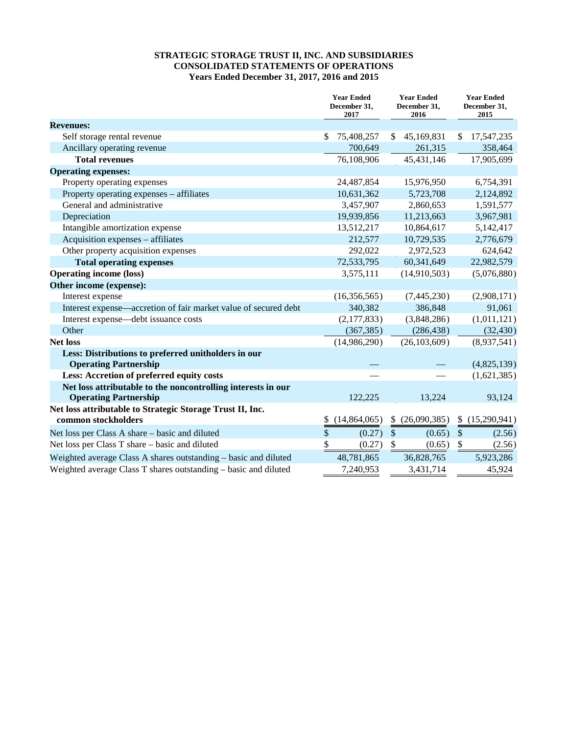## **STRATEGIC STORAGE TRUST II, INC. AND SUBSIDIARIES CONSOLIDATED STATEMENTS OF OPERATIONS Years Ended December 31, 2017, 2016 and 2015**

|                                                                                              | <b>Year Ended</b><br>December 31,<br>2017 | <b>Year Ended</b><br>December 31,<br>2016 | <b>Year Ended</b><br>December 31,<br>2015 |
|----------------------------------------------------------------------------------------------|-------------------------------------------|-------------------------------------------|-------------------------------------------|
| <b>Revenues:</b>                                                                             |                                           |                                           |                                           |
| Self storage rental revenue                                                                  | 75,408,257<br>\$                          | 45,169,831<br>\$                          | \$.<br>17,547,235                         |
| Ancillary operating revenue                                                                  | 700,649                                   | 261,315                                   | 358,464                                   |
| <b>Total revenues</b>                                                                        | 76,108,906                                | 45, 431, 146                              | 17,905,699                                |
| <b>Operating expenses:</b>                                                                   |                                           |                                           |                                           |
| Property operating expenses                                                                  | 24,487,854                                | 15,976,950                                | 6,754,391                                 |
| Property operating expenses - affiliates                                                     | 10,631,362                                | 5,723,708                                 | 2,124,892                                 |
| General and administrative                                                                   | 3,457,907                                 | 2,860,653                                 | 1,591,577                                 |
| Depreciation                                                                                 | 19,939,856                                | 11,213,663                                | 3,967,981                                 |
| Intangible amortization expense                                                              | 13,512,217                                | 10,864,617                                | 5,142,417                                 |
| Acquisition expenses – affiliates                                                            | 212,577                                   | 10,729,535                                | 2,776,679                                 |
| Other property acquisition expenses                                                          | 292,022                                   | 2,972,523                                 | 624,642                                   |
| <b>Total operating expenses</b>                                                              | 72,533,795                                | 60,341,649                                | 22,982,579                                |
| <b>Operating income (loss)</b>                                                               | 3,575,111                                 | (14,910,503)                              | (5,076,880)                               |
| Other income (expense):                                                                      |                                           |                                           |                                           |
| Interest expense                                                                             | (16,356,565)                              | (7,445,230)                               | (2,908,171)                               |
| Interest expense—accretion of fair market value of secured debt                              | 340,382                                   | 386,848                                   | 91,061                                    |
| Interest expense—debt issuance costs                                                         | (2,177,833)                               | (3,848,286)                               | (1,011,121)                               |
| Other                                                                                        | (367, 385)                                | (286, 438)                                | (32, 430)                                 |
| <b>Net loss</b>                                                                              | (14,986,290)                              | (26, 103, 609)                            | (8,937,541)                               |
| Less: Distributions to preferred unitholders in our<br><b>Operating Partnership</b>          |                                           |                                           | (4,825,139)                               |
| Less: Accretion of preferred equity costs                                                    |                                           |                                           | (1,621,385)                               |
| Net loss attributable to the noncontrolling interests in our<br><b>Operating Partnership</b> | 122,225                                   | 13,224                                    | 93,124                                    |
| Net loss attributable to Strategic Storage Trust II, Inc.                                    |                                           |                                           |                                           |
| common stockholders                                                                          | (14,864,065)<br>\$                        | (26,090,385)<br>\$                        | (15,290,941)<br><sup>\$</sup>             |
| Net loss per Class A share – basic and diluted                                               | \$<br>(0.27)                              | $\frac{1}{2}$<br>(0.65)                   | $\frac{1}{2}$<br>(2.56)                   |
| Net loss per Class T share - basic and diluted                                               | \$<br>(0.27)                              | $\mathbb{S}$<br>(0.65)                    | $\mathcal{S}$<br>(2.56)                   |
| Weighted average Class A shares outstanding - basic and diluted                              | 48,781,865                                | 36,828,765                                | 5,923,286                                 |
| Weighted average Class T shares outstanding - basic and diluted                              | 7,240,953                                 | 3,431,714                                 | 45,924                                    |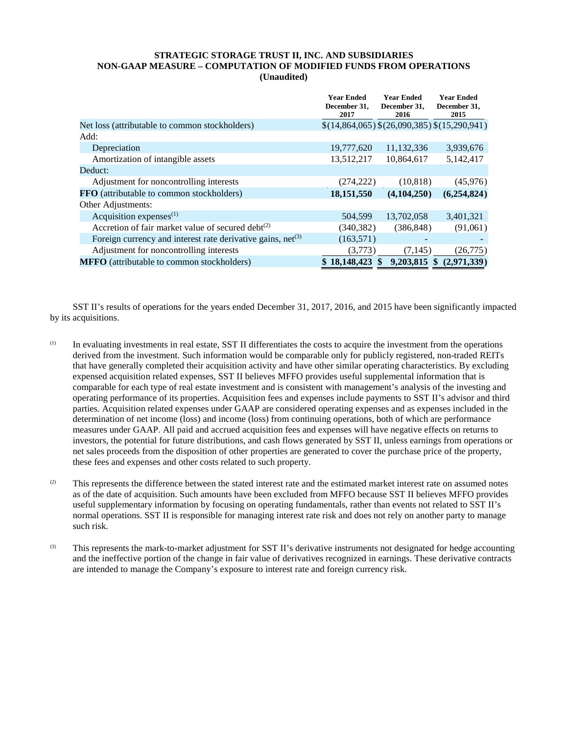### **STRATEGIC STORAGE TRUST II, INC. AND SUBSIDIARIES NON-GAAP MEASURE – COMPUTATION OF MODIFIED FUNDS FROM OPERATIONS (Unaudited)**

|                                                                  | <b>Year Ended</b><br>December 31,<br>2017 | <b>Year Ended</b><br>December 31,<br>2016   | <b>Year Ended</b><br>December 31,<br>2015 |
|------------------------------------------------------------------|-------------------------------------------|---------------------------------------------|-------------------------------------------|
| Net loss (attributable to common stockholders)                   |                                           | $$(14,864,065) $(26,090,385) $(15,290,941)$ |                                           |
| Add:                                                             |                                           |                                             |                                           |
| Depreciation                                                     | 19,777,620                                | 11,132,336                                  | 3,939,676                                 |
| Amortization of intangible assets                                | 13,512,217                                | 10,864,617                                  | 5,142,417                                 |
| Deduct:                                                          |                                           |                                             |                                           |
| Adjustment for noncontrolling interests                          | (274, 222)                                | (10, 818)                                   | (45,976)                                  |
| <b>FFO</b> (attributable to common stockholders)                 | 18,151,550                                | (4,104,250)                                 | (6,254,824)                               |
| Other Adjustments:                                               |                                           |                                             |                                           |
| Acquisition expenses $(1)$                                       | 504,599                                   | 13,702,058                                  | 3,401,321                                 |
| Accretion of fair market value of secured debt <sup>(2)</sup>    | (340, 382)                                | (386, 848)                                  | (91,061)                                  |
| Foreign currency and interest rate derivative gains, $net^{(3)}$ | (163, 571)                                |                                             |                                           |
| Adjustment for noncontrolling interests                          | (3,773)                                   | (7, 145)                                    | (26, 775)                                 |
| <b>MFFO</b> (attributable to common stockholders)                | \$18,148,423                              | $\mathbf{\$}$<br>$9,203,815$ \$             | (2,971,339)                               |

SST II's results of operations for the years ended December 31, 2017, 2016, and 2015 have been significantly impacted by its acquisitions.

- (1) In evaluating investments in real estate, SST II differentiates the costs to acquire the investment from the operations derived from the investment. Such information would be comparable only for publicly registered, non-traded REITs that have generally completed their acquisition activity and have other similar operating characteristics. By excluding expensed acquisition related expenses, SST II believes MFFO provides useful supplemental information that is comparable for each type of real estate investment and is consistent with management's analysis of the investing and operating performance of its properties. Acquisition fees and expenses include payments to SST II's advisor and third parties. Acquisition related expenses under GAAP are considered operating expenses and as expenses included in the determination of net income (loss) and income (loss) from continuing operations, both of which are performance measures under GAAP. All paid and accrued acquisition fees and expenses will have negative effects on returns to investors, the potential for future distributions, and cash flows generated by SST II, unless earnings from operations or net sales proceeds from the disposition of other properties are generated to cover the purchase price of the property, these fees and expenses and other costs related to such property.
- (2) This represents the difference between the stated interest rate and the estimated market interest rate on assumed notes as of the date of acquisition. Such amounts have been excluded from MFFO because SST II believes MFFO provides useful supplementary information by focusing on operating fundamentals, rather than events not related to SST II's normal operations. SST II is responsible for managing interest rate risk and does not rely on another party to manage such risk.
- (3) This represents the mark-to-market adjustment for SST II's derivative instruments not designated for hedge accounting and the ineffective portion of the change in fair value of derivatives recognized in earnings. These derivative contracts are intended to manage the Company's exposure to interest rate and foreign currency risk.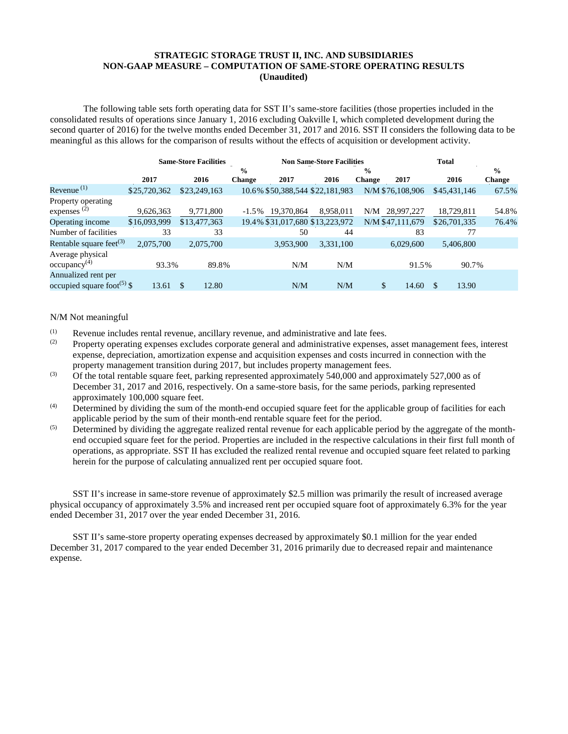## **STRATEGIC STORAGE TRUST II, INC. AND SUBSIDIARIES NON-GAAP MEASURE – COMPUTATION OF SAME-STORE OPERATING RESULTS (Unaudited)**

The following table sets forth operating data for SST II's same-store facilities (those properties included in the consolidated results of operations since January 1, 2016 excluding Oakville I, which completed development during the second quarter of 2016) for the twelve months ended December 31, 2017 and 2016. SST II considers the following data to be meaningful as this allows for the comparison of results without the effects of acquisition or development activity.

|                                                               | <b>Same-Store Facilities</b> |              |               | <b>Non Same-Store Facilities</b> |                                 |               |                  | <b>Total</b> |               |  |
|---------------------------------------------------------------|------------------------------|--------------|---------------|----------------------------------|---------------------------------|---------------|------------------|--------------|---------------|--|
|                                                               |                              |              | $\frac{0}{0}$ |                                  |                                 | $\frac{0}{0}$ |                  |              | $\frac{6}{9}$ |  |
|                                                               | 2017                         | 2016         | <b>Change</b> | 2017                             | 2016                            | <b>Change</b> | 2017             | 2016         | <b>Change</b> |  |
| Revenue $(1)$                                                 | \$25,720,362                 | \$23,249,163 |               |                                  | 10.6% \$50,388,544 \$22,181,983 |               | N/M \$76,108,906 | \$45,431,146 | 67.5%         |  |
| Property operating                                            |                              |              |               |                                  |                                 |               |                  |              |               |  |
| expenses $(2)$                                                | 9,626,363                    | 9,771,800    | $-1.5\%$      | 19,370,864                       | 8.958.011                       | N/M           | 28,997,227       | 18,729,811   | 54.8%         |  |
| Operating income                                              | \$16,093,999                 | \$13,477,363 |               |                                  | 19.4% \$31,017,680 \$13,223,972 |               | N/M \$47,111,679 | \$26,701,335 | 76.4%         |  |
| Number of facilities                                          | 33                           | 33           |               | 50                               | 44                              |               | 83               | 77           |               |  |
| Rentable square feet <sup>(3)</sup>                           | 2,075,700                    | 2,075,700    |               | 3,953,900                        | 3,331,100                       |               | 6.029,600        | 5,406,800    |               |  |
| Average physical<br>occupancy <sup>(4)</sup>                  | 93.3%                        | 89.8%        |               | N/M                              | N/M                             |               | 91.5%            | 90.7%        |               |  |
| Annualized rent per<br>occupied square foot <sup>(5)</sup> \$ | 13.61                        | 12.80<br>\$  |               | N/M                              | N/M                             |               | \$<br>14.60      | \$<br>13.90  |               |  |

N/M Not meaningful

- (1) Revenue includes rental revenue, ancillary revenue, and administrative and late fees.<br>Property operating expenses excludes corporate general and administrative expenses
- (2) Property operating expenses excludes corporate general and administrative expenses, asset management fees, interest expense, depreciation, amortization expense and acquisition expenses and costs incurred in connection with the property management transition during 2017, but includes property management fees.
- <sup>(3)</sup> Of the total rentable square feet, parking represented approximately 540,000 and approximately 527,000 as of December 31, 2017 and 2016, respectively. On a same-store basis, for the same periods, parking represented approximately 100,000 square feet.
- $^{(4)}$  Determined by dividing the sum of the month-end occupied square feet for the applicable group of facilities for each applicable period by the sum of their month-end rentable square feet for the period.
- $\overrightarrow{S}$  Determined by dividing the aggregate realized rental revenue for each applicable period by the aggregate of the monthend occupied square feet for the period. Properties are included in the respective calculations in their first full month of operations, as appropriate. SST II has excluded the realized rental revenue and occupied square feet related to parking herein for the purpose of calculating annualized rent per occupied square foot.

SST II's increase in same-store revenue of approximately \$2.5 million was primarily the result of increased average physical occupancy of approximately 3.5% and increased rent per occupied square foot of approximately 6.3% for the year ended December 31, 2017 over the year ended December 31, 2016.

SST II's same-store property operating expenses decreased by approximately \$0.1 million for the year ended December 31, 2017 compared to the year ended December 31, 2016 primarily due to decreased repair and maintenance expense.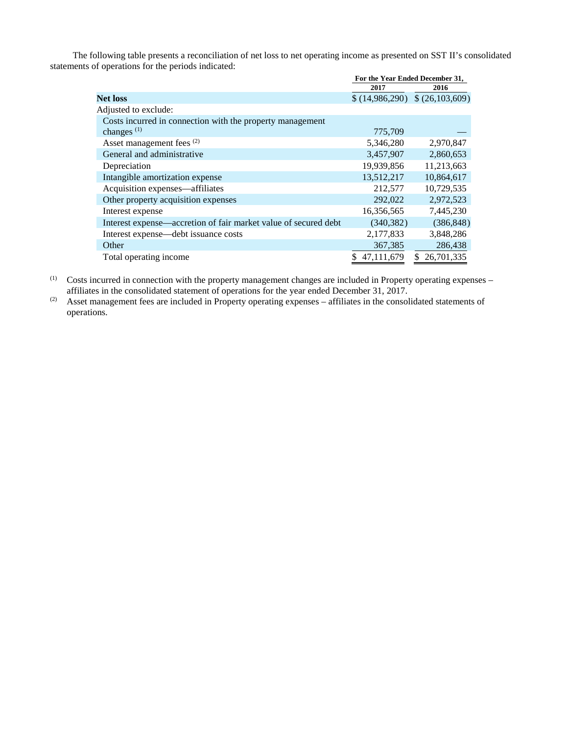The following table presents a reconciliation of net loss to net operating income as presented on SST II's consolidated statements of operations for the periods indicated:

|                                                                 | For the Year Ended December 31, |                  |  |
|-----------------------------------------------------------------|---------------------------------|------------------|--|
|                                                                 | 2017                            | 2016             |  |
| <b>Net loss</b>                                                 | \$(14,986,290)                  | \$ (26,103,609)  |  |
| Adjusted to exclude:                                            |                                 |                  |  |
| Costs incurred in connection with the property management       |                                 |                  |  |
| changes $(1)$                                                   | 775,709                         |                  |  |
| Asset management fees (2)                                       | 5,346,280                       | 2,970,847        |  |
| General and administrative                                      | 3,457,907                       | 2,860,653        |  |
| Depreciation                                                    | 19,939,856                      | 11,213,663       |  |
| Intangible amortization expense                                 | 13,512,217                      | 10,864,617       |  |
| Acquisition expenses—affiliates                                 | 212,577                         | 10,729,535       |  |
| Other property acquisition expenses                             | 292,022                         | 2,972,523        |  |
| Interest expense                                                | 16,356,565                      | 7,445,230        |  |
| Interest expense—accretion of fair market value of secured debt | (340, 382)                      | (386, 848)       |  |
| Interest expense—debt issuance costs                            | 2,177,833                       | 3,848,286        |  |
| Other                                                           | 367,385                         | 286,438          |  |
| Total operating income                                          | 47.111.679                      | 26,701,335<br>S. |  |

(1) Costs incurred in connection with the property management changes are included in Property operating expenses – affiliates in the consolidated statement of operations for the year ended December 31, 2017.

(2) Asset management fees are included in Property operating expenses – affiliates in the consolidated statements of operations.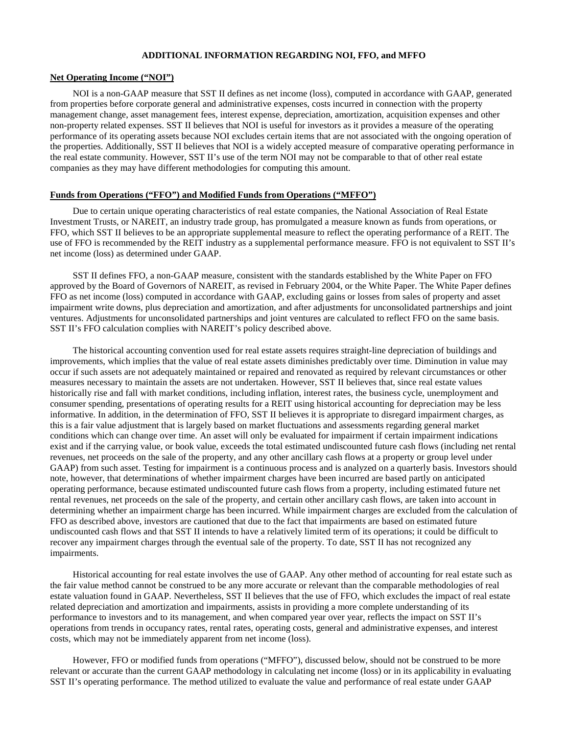#### **ADDITIONAL INFORMATION REGARDING NOI, FFO, and MFFO**

#### **Net Operating Income ("NOI")**

NOI is a non-GAAP measure that SST II defines as net income (loss), computed in accordance with GAAP, generated from properties before corporate general and administrative expenses, costs incurred in connection with the property management change, asset management fees, interest expense, depreciation, amortization, acquisition expenses and other non-property related expenses. SST II believes that NOI is useful for investors as it provides a measure of the operating performance of its operating assets because NOI excludes certain items that are not associated with the ongoing operation of the properties. Additionally, SST II believes that NOI is a widely accepted measure of comparative operating performance in the real estate community. However, SST II's use of the term NOI may not be comparable to that of other real estate companies as they may have different methodologies for computing this amount.

### **Funds from Operations ("FFO") and Modified Funds from Operations ("MFFO")**

Due to certain unique operating characteristics of real estate companies, the National Association of Real Estate Investment Trusts, or NAREIT, an industry trade group, has promulgated a measure known as funds from operations, or FFO, which SST II believes to be an appropriate supplemental measure to reflect the operating performance of a REIT. The use of FFO is recommended by the REIT industry as a supplemental performance measure. FFO is not equivalent to SST II's net income (loss) as determined under GAAP.

SST II defines FFO, a non-GAAP measure, consistent with the standards established by the White Paper on FFO approved by the Board of Governors of NAREIT, as revised in February 2004, or the White Paper. The White Paper defines FFO as net income (loss) computed in accordance with GAAP, excluding gains or losses from sales of property and asset impairment write downs, plus depreciation and amortization, and after adjustments for unconsolidated partnerships and joint ventures. Adjustments for unconsolidated partnerships and joint ventures are calculated to reflect FFO on the same basis. SST II's FFO calculation complies with NAREIT's policy described above.

The historical accounting convention used for real estate assets requires straight-line depreciation of buildings and improvements, which implies that the value of real estate assets diminishes predictably over time. Diminution in value may occur if such assets are not adequately maintained or repaired and renovated as required by relevant circumstances or other measures necessary to maintain the assets are not undertaken. However, SST II believes that, since real estate values historically rise and fall with market conditions, including inflation, interest rates, the business cycle, unemployment and consumer spending, presentations of operating results for a REIT using historical accounting for depreciation may be less informative. In addition, in the determination of FFO, SST II believes it is appropriate to disregard impairment charges, as this is a fair value adjustment that is largely based on market fluctuations and assessments regarding general market conditions which can change over time. An asset will only be evaluated for impairment if certain impairment indications exist and if the carrying value, or book value, exceeds the total estimated undiscounted future cash flows (including net rental revenues, net proceeds on the sale of the property, and any other ancillary cash flows at a property or group level under GAAP) from such asset. Testing for impairment is a continuous process and is analyzed on a quarterly basis. Investors should note, however, that determinations of whether impairment charges have been incurred are based partly on anticipated operating performance, because estimated undiscounted future cash flows from a property, including estimated future net rental revenues, net proceeds on the sale of the property, and certain other ancillary cash flows, are taken into account in determining whether an impairment charge has been incurred. While impairment charges are excluded from the calculation of FFO as described above, investors are cautioned that due to the fact that impairments are based on estimated future undiscounted cash flows and that SST II intends to have a relatively limited term of its operations; it could be difficult to recover any impairment charges through the eventual sale of the property. To date, SST II has not recognized any impairments.

Historical accounting for real estate involves the use of GAAP. Any other method of accounting for real estate such as the fair value method cannot be construed to be any more accurate or relevant than the comparable methodologies of real estate valuation found in GAAP. Nevertheless, SST II believes that the use of FFO, which excludes the impact of real estate related depreciation and amortization and impairments, assists in providing a more complete understanding of its performance to investors and to its management, and when compared year over year, reflects the impact on SST II's operations from trends in occupancy rates, rental rates, operating costs, general and administrative expenses, and interest costs, which may not be immediately apparent from net income (loss).

However, FFO or modified funds from operations ("MFFO"), discussed below, should not be construed to be more relevant or accurate than the current GAAP methodology in calculating net income (loss) or in its applicability in evaluating SST II's operating performance. The method utilized to evaluate the value and performance of real estate under GAAP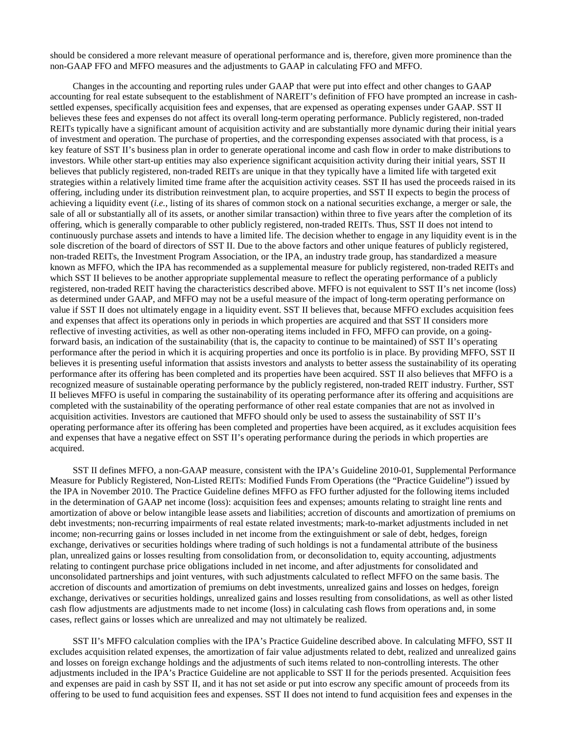should be considered a more relevant measure of operational performance and is, therefore, given more prominence than the non-GAAP FFO and MFFO measures and the adjustments to GAAP in calculating FFO and MFFO.

Changes in the accounting and reporting rules under GAAP that were put into effect and other changes to GAAP accounting for real estate subsequent to the establishment of NAREIT's definition of FFO have prompted an increase in cashsettled expenses, specifically acquisition fees and expenses, that are expensed as operating expenses under GAAP. SST II believes these fees and expenses do not affect its overall long-term operating performance. Publicly registered, non-traded REITs typically have a significant amount of acquisition activity and are substantially more dynamic during their initial years of investment and operation. The purchase of properties, and the corresponding expenses associated with that process, is a key feature of SST II's business plan in order to generate operational income and cash flow in order to make distributions to investors. While other start-up entities may also experience significant acquisition activity during their initial years, SST II believes that publicly registered, non-traded REITs are unique in that they typically have a limited life with targeted exit strategies within a relatively limited time frame after the acquisition activity ceases. SST II has used the proceeds raised in its offering, including under its distribution reinvestment plan, to acquire properties, and SST II expects to begin the process of achieving a liquidity event (*i.e.*, listing of its shares of common stock on a national securities exchange, a merger or sale, the sale of all or substantially all of its assets, or another similar transaction) within three to five years after the completion of its offering, which is generally comparable to other publicly registered, non-traded REITs. Thus, SST II does not intend to continuously purchase assets and intends to have a limited life. The decision whether to engage in any liquidity event is in the sole discretion of the board of directors of SST II. Due to the above factors and other unique features of publicly registered, non-traded REITs, the Investment Program Association, or the IPA, an industry trade group, has standardized a measure known as MFFO, which the IPA has recommended as a supplemental measure for publicly registered, non-traded REITs and which SST II believes to be another appropriate supplemental measure to reflect the operating performance of a publicly registered, non-traded REIT having the characteristics described above. MFFO is not equivalent to SST II's net income (loss) as determined under GAAP, and MFFO may not be a useful measure of the impact of long-term operating performance on value if SST II does not ultimately engage in a liquidity event. SST II believes that, because MFFO excludes acquisition fees and expenses that affect its operations only in periods in which properties are acquired and that SST II considers more reflective of investing activities, as well as other non-operating items included in FFO, MFFO can provide, on a goingforward basis, an indication of the sustainability (that is, the capacity to continue to be maintained) of SST II's operating performance after the period in which it is acquiring properties and once its portfolio is in place. By providing MFFO, SST II believes it is presenting useful information that assists investors and analysts to better assess the sustainability of its operating performance after its offering has been completed and its properties have been acquired. SST II also believes that MFFO is a recognized measure of sustainable operating performance by the publicly registered, non-traded REIT industry. Further, SST II believes MFFO is useful in comparing the sustainability of its operating performance after its offering and acquisitions are completed with the sustainability of the operating performance of other real estate companies that are not as involved in acquisition activities. Investors are cautioned that MFFO should only be used to assess the sustainability of SST II's operating performance after its offering has been completed and properties have been acquired, as it excludes acquisition fees and expenses that have a negative effect on SST II's operating performance during the periods in which properties are acquired.

SST II defines MFFO, a non-GAAP measure, consistent with the IPA's Guideline 2010-01, Supplemental Performance Measure for Publicly Registered, Non-Listed REITs: Modified Funds From Operations (the "Practice Guideline") issued by the IPA in November 2010. The Practice Guideline defines MFFO as FFO further adjusted for the following items included in the determination of GAAP net income (loss): acquisition fees and expenses; amounts relating to straight line rents and amortization of above or below intangible lease assets and liabilities; accretion of discounts and amortization of premiums on debt investments; non-recurring impairments of real estate related investments; mark-to-market adjustments included in net income; non-recurring gains or losses included in net income from the extinguishment or sale of debt, hedges, foreign exchange, derivatives or securities holdings where trading of such holdings is not a fundamental attribute of the business plan, unrealized gains or losses resulting from consolidation from, or deconsolidation to, equity accounting, adjustments relating to contingent purchase price obligations included in net income, and after adjustments for consolidated and unconsolidated partnerships and joint ventures, with such adjustments calculated to reflect MFFO on the same basis. The accretion of discounts and amortization of premiums on debt investments, unrealized gains and losses on hedges, foreign exchange, derivatives or securities holdings, unrealized gains and losses resulting from consolidations, as well as other listed cash flow adjustments are adjustments made to net income (loss) in calculating cash flows from operations and, in some cases, reflect gains or losses which are unrealized and may not ultimately be realized.

SST II's MFFO calculation complies with the IPA's Practice Guideline described above. In calculating MFFO, SST II excludes acquisition related expenses, the amortization of fair value adjustments related to debt, realized and unrealized gains and losses on foreign exchange holdings and the adjustments of such items related to non-controlling interests. The other adjustments included in the IPA's Practice Guideline are not applicable to SST II for the periods presented. Acquisition fees and expenses are paid in cash by SST II, and it has not set aside or put into escrow any specific amount of proceeds from its offering to be used to fund acquisition fees and expenses. SST II does not intend to fund acquisition fees and expenses in the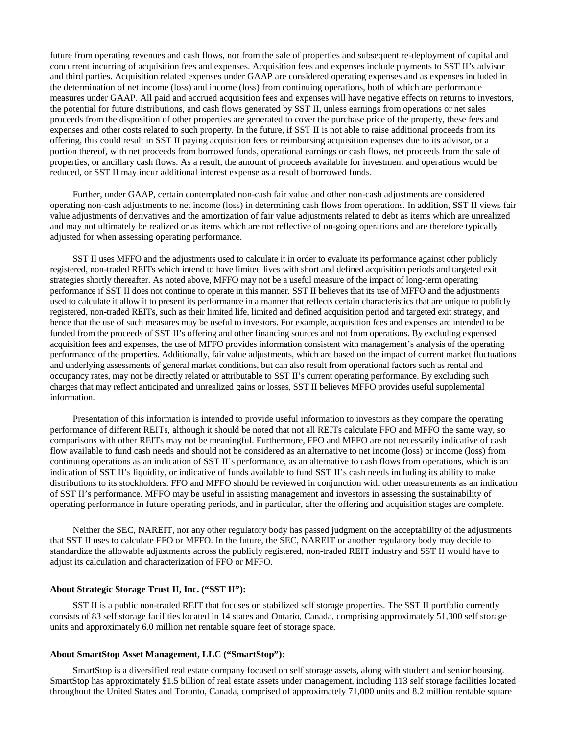future from operating revenues and cash flows, nor from the sale of properties and subsequent re-deployment of capital and concurrent incurring of acquisition fees and expenses. Acquisition fees and expenses include payments to SST II's advisor and third parties. Acquisition related expenses under GAAP are considered operating expenses and as expenses included in the determination of net income (loss) and income (loss) from continuing operations, both of which are performance measures under GAAP. All paid and accrued acquisition fees and expenses will have negative effects on returns to investors, the potential for future distributions, and cash flows generated by SST II, unless earnings from operations or net sales proceeds from the disposition of other properties are generated to cover the purchase price of the property, these fees and expenses and other costs related to such property. In the future, if SST II is not able to raise additional proceeds from its offering, this could result in SST II paying acquisition fees or reimbursing acquisition expenses due to its advisor, or a portion thereof, with net proceeds from borrowed funds, operational earnings or cash flows, net proceeds from the sale of properties, or ancillary cash flows. As a result, the amount of proceeds available for investment and operations would be reduced, or SST II may incur additional interest expense as a result of borrowed funds.

Further, under GAAP, certain contemplated non-cash fair value and other non-cash adjustments are considered operating non-cash adjustments to net income (loss) in determining cash flows from operations. In addition, SST II views fair value adjustments of derivatives and the amortization of fair value adjustments related to debt as items which are unrealized and may not ultimately be realized or as items which are not reflective of on-going operations and are therefore typically adjusted for when assessing operating performance.

SST II uses MFFO and the adjustments used to calculate it in order to evaluate its performance against other publicly registered, non-traded REITs which intend to have limited lives with short and defined acquisition periods and targeted exit strategies shortly thereafter. As noted above, MFFO may not be a useful measure of the impact of long-term operating performance if SST II does not continue to operate in this manner. SST II believes that its use of MFFO and the adjustments used to calculate it allow it to present its performance in a manner that reflects certain characteristics that are unique to publicly registered, non-traded REITs, such as their limited life, limited and defined acquisition period and targeted exit strategy, and hence that the use of such measures may be useful to investors. For example, acquisition fees and expenses are intended to be funded from the proceeds of SST II's offering and other financing sources and not from operations. By excluding expensed acquisition fees and expenses, the use of MFFO provides information consistent with management's analysis of the operating performance of the properties. Additionally, fair value adjustments, which are based on the impact of current market fluctuations and underlying assessments of general market conditions, but can also result from operational factors such as rental and occupancy rates, may not be directly related or attributable to SST II's current operating performance. By excluding such charges that may reflect anticipated and unrealized gains or losses, SST II believes MFFO provides useful supplemental information.

Presentation of this information is intended to provide useful information to investors as they compare the operating performance of different REITs, although it should be noted that not all REITs calculate FFO and MFFO the same way, so comparisons with other REITs may not be meaningful. Furthermore, FFO and MFFO are not necessarily indicative of cash flow available to fund cash needs and should not be considered as an alternative to net income (loss) or income (loss) from continuing operations as an indication of SST II's performance, as an alternative to cash flows from operations, which is an indication of SST II's liquidity, or indicative of funds available to fund SST II's cash needs including its ability to make distributions to its stockholders. FFO and MFFO should be reviewed in conjunction with other measurements as an indication of SST II's performance. MFFO may be useful in assisting management and investors in assessing the sustainability of operating performance in future operating periods, and in particular, after the offering and acquisition stages are complete.

Neither the SEC, NAREIT, nor any other regulatory body has passed judgment on the acceptability of the adjustments that SST II uses to calculate FFO or MFFO. In the future, the SEC, NAREIT or another regulatory body may decide to standardize the allowable adjustments across the publicly registered, non-traded REIT industry and SST II would have to adjust its calculation and characterization of FFO or MFFO.

#### **About Strategic Storage Trust II, Inc. ("SST II"):**

SST II is a public non-traded REIT that focuses on stabilized self storage properties. The SST II portfolio currently consists of 83 self storage facilities located in 14 states and Ontario, Canada, comprising approximately 51,300 self storage units and approximately 6.0 million net rentable square feet of storage space.

### **About SmartStop Asset Management, LLC ("SmartStop"):**

SmartStop is a diversified real estate company focused on self storage assets, along with student and senior housing. SmartStop has approximately \$1.5 billion of real estate assets under management, including 113 self storage facilities located throughout the United States and Toronto, Canada, comprised of approximately 71,000 units and 8.2 million rentable square